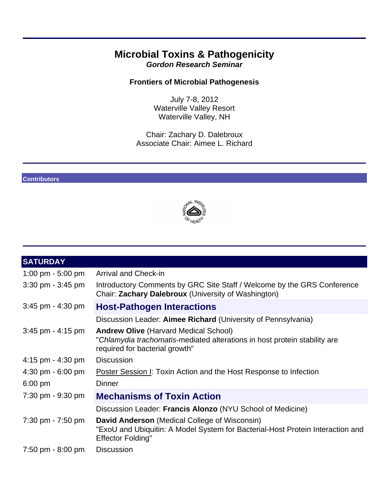# **Microbial Toxins & Pathogenicity**  *Gordon Research Seminar*

# **Frontiers of Microbial Pathogenesis**

July 7-8, 2012 Waterville Valley Resort Waterville Valley, NH

Chair: Zachary D. Dalebroux Associate Chair: Aimee L. Richard

### **Contributors**



| <b>SATURDAY</b>                     |                                                                                                                                                             |  |  |
|-------------------------------------|-------------------------------------------------------------------------------------------------------------------------------------------------------------|--|--|
| 1:00 pm $-5:00$ pm                  | <b>Arrival and Check-in</b>                                                                                                                                 |  |  |
| $3:30 \text{ pm} - 3:45 \text{ pm}$ | Introductory Comments by GRC Site Staff / Welcome by the GRS Conference<br>Chair: Zachary Dalebroux (University of Washington)                              |  |  |
| $3:45$ pm - $4:30$ pm               | <b>Host-Pathogen Interactions</b>                                                                                                                           |  |  |
|                                     | Discussion Leader: Aimee Richard (University of Pennsylvania)                                                                                               |  |  |
| $3:45$ pm - $4:15$ pm               | <b>Andrew Olive (Harvard Medical School)</b><br>"Chlamydia trachomatis-mediated alterations in host protein stability are<br>required for bacterial growth" |  |  |
| $4:15$ pm - $4:30$ pm               | <b>Discussion</b>                                                                                                                                           |  |  |
| $4:30 \text{ pm} - 6:00 \text{ pm}$ | <b>Poster Session I: Toxin Action and the Host Response to Infection</b>                                                                                    |  |  |
| $6:00 \text{ pm}$                   | <b>Dinner</b>                                                                                                                                               |  |  |
| 7:30 pm - 9:30 pm                   | <b>Mechanisms of Toxin Action</b>                                                                                                                           |  |  |
|                                     | Discussion Leader: Francis Alonzo (NYU School of Medicine)                                                                                                  |  |  |
| 7:30 pm - 7:50 pm                   | David Anderson (Medical College of Wisconsin)<br>"ExoU and Ubiquitin: A Model System for Bacterial-Host Protein Interaction and<br><b>Effector Folding"</b> |  |  |
| 7:50 pm - 8:00 pm                   | <b>Discussion</b>                                                                                                                                           |  |  |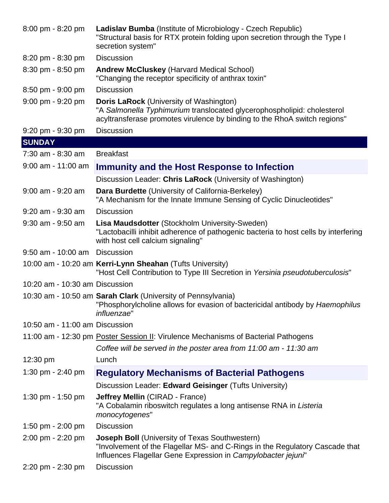| 8:00 pm - 8:20 pm                   | <b>Ladislav Bumba</b> (Institute of Microbiology - Czech Republic)<br>"Structural basis for RTX protein folding upon secretion through the Type I<br>secretion system"                                 |
|-------------------------------------|--------------------------------------------------------------------------------------------------------------------------------------------------------------------------------------------------------|
| 8:20 pm - 8:30 pm                   | <b>Discussion</b>                                                                                                                                                                                      |
| 8:30 pm - 8:50 pm                   | <b>Andrew McCluskey (Harvard Medical School)</b><br>"Changing the receptor specificity of anthrax toxin"                                                                                               |
| $8:50 \text{ pm} - 9:00 \text{ pm}$ | <b>Discussion</b>                                                                                                                                                                                      |
| 9:00 pm - 9:20 pm                   | <b>Doris LaRock</b> (University of Washington)<br>"A Salmonella Typhimurium translocated glycerophospholipid: cholesterol<br>acyltransferase promotes virulence by binding to the RhoA switch regions" |
| $9:20 \text{ pm} - 9:30 \text{ pm}$ | <b>Discussion</b>                                                                                                                                                                                      |
| <b>SUNDAY</b>                       |                                                                                                                                                                                                        |
| 7:30 am - 8:30 am                   | <b>Breakfast</b>                                                                                                                                                                                       |
| $9:00$ am - 11:00 am                | Immunity and the Host Response to Infection                                                                                                                                                            |
|                                     | Discussion Leader: Chris LaRock (University of Washington)                                                                                                                                             |
| $9:00$ am - $9:20$ am               | Dara Burdette (University of California-Berkeley)<br>"A Mechanism for the Innate Immune Sensing of Cyclic Dinucleotides"                                                                               |
| 9:20 am - 9:30 am                   | <b>Discussion</b>                                                                                                                                                                                      |
| $9:30$ am - $9:50$ am               | Lisa Maudsdotter (Stockholm University-Sweden)<br>"Lactobacilli inhibit adherence of pathogenic bacteria to host cells by interfering<br>with host cell calcium signaling"                             |
| $9:50$ am - 10:00 am                | <b>Discussion</b>                                                                                                                                                                                      |
|                                     | 10:00 am - 10:20 am Kerri-Lynn Sheahan (Tufts University)<br>"Host Cell Contribution to Type III Secretion in Yersinia pseudotuberculosis"                                                             |
| 10:20 am - 10:30 am Discussion      |                                                                                                                                                                                                        |
|                                     | 10:30 am - 10:50 am Sarah Clark (University of Pennsylvania)<br>"Phosphorylcholine allows for evasion of bactericidal antibody by Haemophilus<br>influenzae"                                           |
| 10:50 am - 11:00 am Discussion      |                                                                                                                                                                                                        |
|                                     | 11:00 am - 12:30 pm Poster Session II: Virulence Mechanisms of Bacterial Pathogens                                                                                                                     |
|                                     | Coffee will be served in the poster area from 11:00 am - 11:30 am                                                                                                                                      |
| $12:30 \text{ pm}$                  | Lunch                                                                                                                                                                                                  |
| 1:30 pm - 2:40 pm                   | <b>Regulatory Mechanisms of Bacterial Pathogens</b>                                                                                                                                                    |
|                                     | Discussion Leader: Edward Geisinger (Tufts University)                                                                                                                                                 |
| 1:30 pm - 1:50 pm                   | <b>Jeffrey Mellin (CIRAD - France)</b><br>"A Cobalamin riboswitch regulates a long antisense RNA in Listeria<br>monocytogenes"                                                                         |
| 1:50 pm - $2:00$ pm                 | <b>Discussion</b>                                                                                                                                                                                      |
| 2:00 pm - 2:20 pm                   | <b>Joseph Boll (University of Texas Southwestern)</b><br>"Involvement of the Flagellar MS- and C-Rings in the Regulatory Cascade that<br>Influences Flagellar Gene Expression in Campylobacter jejuni" |
| 2:20 pm - 2:30 pm                   | <b>Discussion</b>                                                                                                                                                                                      |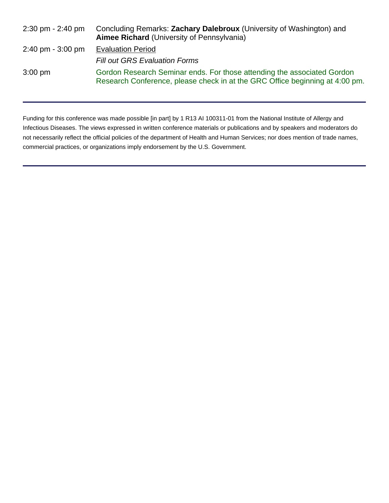| $2:30 \text{ pm} - 2:40 \text{ pm}$ | Concluding Remarks: Zachary Dalebroux (University of Washington) and<br><b>Aimee Richard (University of Pennsylvania)</b>                               |
|-------------------------------------|---------------------------------------------------------------------------------------------------------------------------------------------------------|
| $2:40 \text{ pm} - 3:00 \text{ pm}$ | <b>Evaluation Period</b>                                                                                                                                |
|                                     | <b>Fill out GRS Evaluation Forms</b>                                                                                                                    |
| $3:00 \text{ pm}$                   | Gordon Research Seminar ends. For those attending the associated Gordon<br>Research Conference, please check in at the GRC Office beginning at 4:00 pm. |

Funding for this conference was made possible [in part] by 1 R13 AI 100311-01 from the National Institute of Allergy and Infectious Diseases. The views expressed in written conference materials or publications and by speakers and moderators do not necessarily reflect the official policies of the department of Health and Human Services; nor does mention of trade names, commercial practices, or organizations imply endorsement by the U.S. Government.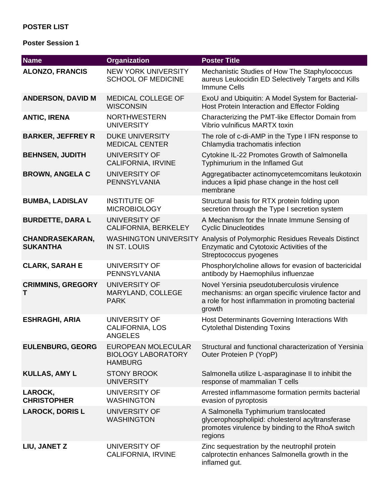# **POSTER LIST**

### **Poster Session 1**

| <b>Name</b>                                                                       | <b>Organization</b>                                                      | <b>Poster Title</b>                                                                                                                                                |  |  |
|-----------------------------------------------------------------------------------|--------------------------------------------------------------------------|--------------------------------------------------------------------------------------------------------------------------------------------------------------------|--|--|
| <b>NEW YORK UNIVERSITY</b><br><b>ALONZO, FRANCIS</b><br><b>SCHOOL OF MEDICINE</b> |                                                                          | Mechanistic Studies of How The Staphylococcus<br>aureus Leukocidin ED Selectively Targets and Kills<br><b>Immune Cells</b>                                         |  |  |
| <b>ANDERSON, DAVID M</b>                                                          | <b>MEDICAL COLLEGE OF</b><br><b>WISCONSIN</b>                            | ExoU and Ubiquitin: A Model System for Bacterial-<br>Host Protein Interaction and Effector Folding                                                                 |  |  |
| <b>ANTIC, IRENA</b>                                                               | <b>NORTHWESTERN</b><br><b>UNIVERSITY</b>                                 | Characterizing the PMT-like Effector Domain from<br>Vibrio vulnificus MARTX toxin                                                                                  |  |  |
| <b>BARKER, JEFFREY R</b>                                                          | <b>DUKE UNIVERSITY</b><br><b>MEDICAL CENTER</b>                          | The role of c-di-AMP in the Type I IFN response to<br>Chlamydia trachomatis infection                                                                              |  |  |
| <b>BEHNSEN, JUDITH</b>                                                            | <b>UNIVERSITY OF</b><br><b>CALIFORNIA, IRVINE</b>                        | Cytokine IL-22 Promotes Growth of Salmonella<br>Typhimurium in the Inflamed Gut                                                                                    |  |  |
| <b>BROWN, ANGELA C</b>                                                            | <b>UNIVERSITY OF</b><br>PENNSYLVANIA                                     | Aggregatibacter actinomycetemcomitans leukotoxin<br>induces a lipid phase change in the host cell<br>membrane                                                      |  |  |
| <b>BUMBA, LADISLAV</b>                                                            | <b>INSTITUTE OF</b><br><b>MICROBIOLOGY</b>                               | Structural basis for RTX protein folding upon<br>secretion through the Type I secretion system                                                                     |  |  |
| <b>BURDETTE, DARA L</b>                                                           | <b>UNIVERSITY OF</b><br>CALIFORNIA, BERKELEY                             | A Mechanism for the Innate Immune Sensing of<br><b>Cyclic Dinucleotides</b>                                                                                        |  |  |
| <b>CHANDRASEKARAN,</b><br><b>SUKANTHA</b>                                         | <b>IN ST. LOUIS</b>                                                      | WASHINGTON UNIVERSITY Analysis of Polymorphic Residues Reveals Distinct<br>Enzymatic and Cytotoxic Activities of the<br>Streptococcus pyogenes                     |  |  |
| <b>CLARK, SARAH E</b>                                                             | UNIVERSITY OF<br>PENNSYLVANIA                                            | Phosphorylcholine allows for evasion of bactericidal<br>antibody by Haemophilus influenzae                                                                         |  |  |
| <b>CRIMMINS, GREGORY</b><br>т                                                     | <b>UNIVERSITY OF</b><br>MARYLAND, COLLEGE<br><b>PARK</b>                 | Novel Yersinia pseudotuberculosis virulence<br>mechanisms: an organ specific virulence factor and<br>a role for host inflammation in promoting bacterial<br>growth |  |  |
| <b>ESHRAGHI, ARIA</b>                                                             | <b>UNIVERSITY OF</b><br><b>CALIFORNIA, LOS</b><br><b>ANGELES</b>         | Host Determinants Governing Interactions With<br><b>Cytolethal Distending Toxins</b>                                                                               |  |  |
| <b>EULENBURG, GEORG</b>                                                           | <b>EUROPEAN MOLECULAR</b><br><b>BIOLOGY LABORATORY</b><br><b>HAMBURG</b> | Structural and functional characterization of Yersinia<br>Outer Proteien P (YopP)                                                                                  |  |  |
| <b>KULLAS, AMY L</b>                                                              | <b>STONY BROOK</b><br><b>UNIVERSITY</b>                                  | Salmonella utilize L-asparaginase II to inhibit the<br>response of mammalian T cells                                                                               |  |  |
| LAROCK,<br><b>CHRISTOPHER</b>                                                     | UNIVERSITY OF<br><b>WASHINGTON</b>                                       | Arrested inflammasome formation permits bacterial<br>evasion of pyroptosis                                                                                         |  |  |
| <b>LAROCK, DORIS L</b>                                                            | UNIVERSITY OF<br><b>WASHINGTON</b>                                       | A Salmonella Typhimurium translocated<br>glycerophospholipid: cholesterol acyltransferase<br>promotes virulence by binding to the RhoA switch<br>regions           |  |  |
| LIU, JANET Z                                                                      | UNIVERSITY OF<br><b>CALIFORNIA, IRVINE</b>                               | Zinc sequestration by the neutrophil protein<br>calprotectin enhances Salmonella growth in the<br>inflamed gut.                                                    |  |  |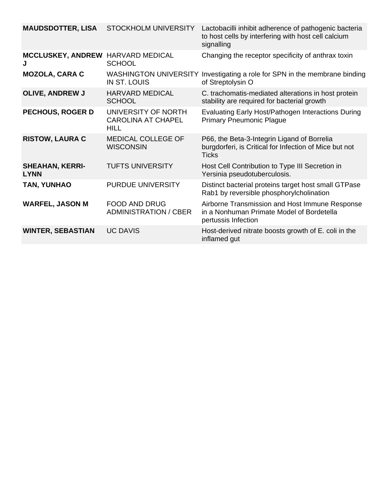| <b>MAUDSDOTTER, LISA</b>              | <b>STOCKHOLM UNIVERSITY</b>                              | Lactobacilli inhibit adherence of pathogenic bacteria<br>to host cells by interfering with host cell calcium<br>signalling |
|---------------------------------------|----------------------------------------------------------|----------------------------------------------------------------------------------------------------------------------------|
| <b>MCCLUSKEY, ANDREW</b>              | <b>HARVARD MEDICAL</b><br><b>SCHOOL</b>                  | Changing the receptor specificity of anthrax toxin                                                                         |
| <b>MOZOLA, CARA C</b>                 | <b>WASHINGTON UNIVERSITY</b><br><b>IN ST. LOUIS</b>      | Investigating a role for SPN in the membrane binding<br>of Streptolysin O                                                  |
| <b>OLIVE, ANDREW J</b>                | <b>HARVARD MEDICAL</b><br><b>SCHOOL</b>                  | C. trachomatis-mediated alterations in host protein<br>stability are required for bacterial growth                         |
| <b>PECHOUS, ROGER D</b>               | UNIVERSITY OF NORTH<br><b>CAROLINA AT CHAPEL</b><br>HILL | Evaluating Early Host/Pathogen Interactions During<br><b>Primary Pneumonic Plague</b>                                      |
| <b>RISTOW, LAURA C</b>                | MEDICAL COLLEGE OF<br><b>WISCONSIN</b>                   | P66, the Beta-3-Integrin Ligand of Borrelia<br>burgdorferi, is Critical for Infection of Mice but not<br><b>Ticks</b>      |
| <b>SHEAHAN, KERRI-</b><br><b>LYNN</b> | <b>TUFTS UNIVERSITY</b>                                  | Host Cell Contribution to Type III Secretion in<br>Yersinia pseudotuberculosis.                                            |
| <b>TAN, YUNHAO</b>                    | PURDUE UNIVERSITY                                        | Distinct bacterial proteins target host small GTPase<br>Rab1 by reversible phosphorylcholination                           |
| <b>WARFEL, JASON M</b>                | <b>FOOD AND DRUG</b><br><b>ADMINISTRATION / CBER</b>     | Airborne Transmission and Host Immune Response<br>in a Nonhuman Primate Model of Bordetella<br>pertussis Infection         |
| <b>WINTER, SEBASTIAN</b>              | <b>UC DAVIS</b>                                          | Host-derived nitrate boosts growth of E. coli in the<br>inflamed gut                                                       |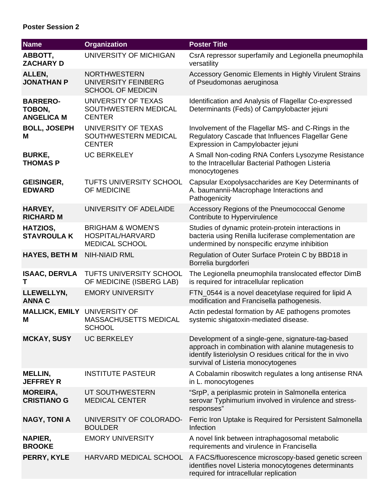# **Poster Session 2**

| <b>Name</b>                                    | <b>Organization</b>                                                       | <b>Poster Title</b>                                                                                                                                                                                          |
|------------------------------------------------|---------------------------------------------------------------------------|--------------------------------------------------------------------------------------------------------------------------------------------------------------------------------------------------------------|
| ABBOTT,<br><b>ZACHARY D</b>                    | UNIVERSITY OF MICHIGAN                                                    | CsrA repressor superfamily and Legionella pneumophila<br>versatility                                                                                                                                         |
| ALLEN,<br><b>JONATHAN P</b>                    | <b>NORTHWESTERN</b><br>UNIVERSITY FEINBERG<br><b>SCHOOL OF MEDICIN</b>    | Accessory Genomic Elements in Highly Virulent Strains<br>of Pseudomonas aeruginosa                                                                                                                           |
| <b>BARRERO-</b><br>TOBON,<br><b>ANGELICA M</b> | UNIVERSITY OF TEXAS<br>SOUTHWESTERN MEDICAL<br><b>CENTER</b>              | Identification and Analysis of Flagellar Co-expressed<br>Determinants (Feds) of Campylobacter jejuni                                                                                                         |
| <b>BOLL, JOSEPH</b><br>М                       | UNIVERSITY OF TEXAS<br>SOUTHWESTERN MEDICAL<br><b>CENTER</b>              | Involvement of the Flagellar MS- and C-Rings in the<br>Regulatory Cascade that Influences Flagellar Gene<br>Expression in Campylobacter jejuni                                                               |
| <b>BURKE,</b><br><b>THOMAS P</b>               | <b>UC BERKELEY</b>                                                        | A Small Non-coding RNA Confers Lysozyme Resistance<br>to the Intracellular Bacterial Pathogen Listeria<br>monocytogenes                                                                                      |
| <b>GEISINGER,</b><br><b>EDWARD</b>             | <b>TUFTS UNIVERSITY SCHOOL</b><br>OF MEDICINE                             | Capsular Exopolysaccharides are Key Determinants of<br>A. baumannii-Macrophage Interactions and<br>Pathogenicity                                                                                             |
| HARVEY,<br><b>RICHARD M</b>                    | UNIVERSITY OF ADELAIDE                                                    | Accessory Regions of the Pneumococcal Genome<br>Contribute to Hypervirulence                                                                                                                                 |
| HATZIOS,<br><b>STAVROULAK</b>                  | <b>BRIGHAM &amp; WOMEN'S</b><br>HOSPITAL/HARVARD<br><b>MEDICAL SCHOOL</b> | Studies of dynamic protein-protein interactions in<br>bacteria using Renilla luciferase complementation are<br>undermined by nonspecific enzyme inhibition                                                   |
| <b>HAYES, BETH M</b>                           | <b>NIH-NIAID RML</b>                                                      | Regulation of Outer Surface Protein C by BBD18 in<br>Borrelia burgdorferi                                                                                                                                    |
| <b>ISAAC, DERVLA</b><br>т                      | TUFTS UNIVERSITY SCHOOL<br>OF MEDICINE (ISBERG LAB)                       | The Legionella pneumophila translocated effector DimB<br>is required for intracellular replication                                                                                                           |
| LLEWELLYN,<br><b>ANNA C</b>                    | <b>EMORY UNIVERSITY</b>                                                   | FTN_0544 is a novel deacetylase required for lipid A<br>modification and Francisella pathogenesis.                                                                                                           |
| <b>MALLICK, EMILY</b><br>Μ                     | UNIVERSITY OF<br><b>MASSACHUSETTS MEDICAL</b><br><b>SCHOOL</b>            | Actin pedestal formation by AE pathogens promotes<br>systemic shigatoxin-mediated disease.                                                                                                                   |
| <b>MCKAY, SUSY</b>                             | <b>UC BERKELEY</b>                                                        | Development of a single-gene, signature-tag-based<br>approach in combination with alanine mutagenesis to<br>identify listeriolysin O residues critical for the in vivo<br>survival of Listeria monocytogenes |
| <b>MELLIN,</b><br><b>JEFFREY R</b>             | <b>INSTITUTE PASTEUR</b>                                                  | A Cobalamin riboswitch regulates a long antisense RNA<br>in L. monocytogenes                                                                                                                                 |
| <b>MOREIRA,</b><br><b>CRISTIANO G</b>          | UT SOUTHWESTERN<br><b>MEDICAL CENTER</b>                                  | "SrpP, a periplasmic protein in Salmonella enterica<br>serovar Typhimurium involved in virulence and stress-<br>responses"                                                                                   |
| <b>NAGY, TONI A</b>                            | UNIVERSITY OF COLORADO-<br><b>BOULDER</b>                                 | Ferric Iron Uptake is Required for Persistent Salmonella<br>Infection                                                                                                                                        |
| NAPIER,<br><b>BROOKE</b>                       | <b>EMORY UNIVERSITY</b>                                                   | A novel link between intraphagosomal metabolic<br>requirements and virulence in Francisella                                                                                                                  |
| PERRY, KYLE                                    | HARVARD MEDICAL SCHOOL                                                    | A FACS/fluorescence microscopy-based genetic screen<br>identifies novel Listeria monocytogenes determinants<br>required for intracellular replication                                                        |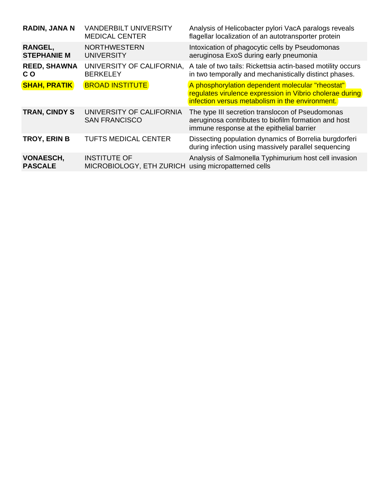| <b>RADIN, JANA N</b>                 | <b>VANDERBILT UNIVERSITY</b><br><b>MEDICAL CENTER</b> | Analysis of Helicobacter pylori VacA paralogs reveals<br>flagellar localization of an autotransporter protein                                                   |
|--------------------------------------|-------------------------------------------------------|-----------------------------------------------------------------------------------------------------------------------------------------------------------------|
| <b>RANGEL,</b><br><b>STEPHANIE M</b> | <b>NORTHWESTERN</b><br><b>UNIVERSITY</b>              | Intoxication of phagocytic cells by Pseudomonas<br>aeruginosa ExoS during early pneumonia                                                                       |
| <b>REED, SHAWNA</b><br>C O           | UNIVERSITY OF CALIFORNIA.<br><b>BERKELEY</b>          | A tale of two tails: Rickettsia actin-based motility occurs<br>in two temporally and mechanistically distinct phases.                                           |
| <b>SHAH, PRATIK</b>                  | <b>BROAD INSTITUTE</b>                                | A phosphorylation dependent molecular "rheostat"<br>regulates virulence expression in Vibrio cholerae during<br>infection versus metabolism in the environment. |
| <b>TRAN, CINDY S</b>                 | UNIVERSITY OF CALIFORNIA<br><b>SAN FRANCISCO</b>      | The type III secretion translocon of Pseudomonas<br>aeruginosa contributes to biofilm formation and host<br>immune response at the epithelial barrier           |
| <b>TROY, ERIN B</b>                  | <b>TUFTS MEDICAL CENTER</b>                           | Dissecting population dynamics of Borrelia burgdorferi<br>during infection using massively parallel sequencing                                                  |
| <b>VONAESCH,</b><br><b>PASCALE</b>   | <b>INSTITUTE OF</b><br>MICROBIOLOGY, ETH ZURICH       | Analysis of Salmonella Typhimurium host cell invasion<br>using micropatterned cells                                                                             |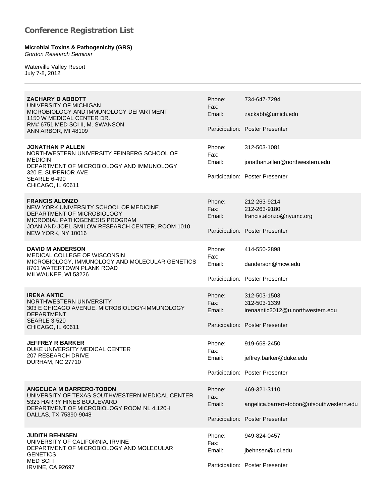#### **Microbial Toxins & Pathogenicity (GRS)** *Gordon Research Seminar*

Waterville Valley Resort July 7-8, 2012

| <b>ZACHARY D ABBOTT</b><br>UNIVERSITY OF MICHIGAN<br>MICROBIOLOGY AND IMMUNOLOGY DEPARTMENT<br>1150 W MEDICAL CENTER DR.<br>RM# 6751 MED SCI II, M. SWANSON<br>ANN ARBOR, MI 48109                       | Phone:<br>Fax:<br>Email: | 734-647-7294<br>zackabb@umich.edu<br>Participation: Poster Presenter                                 |
|----------------------------------------------------------------------------------------------------------------------------------------------------------------------------------------------------------|--------------------------|------------------------------------------------------------------------------------------------------|
| <b>JONATHAN P ALLEN</b><br>NORTHWESTERN UNIVERSITY FEINBERG SCHOOL OF<br><b>MEDICIN</b><br>DEPARTMENT OF MICROBIOLOGY AND IMMUNOLOGY<br>320 E. SUPERIOR AVE<br><b>SEARLE 6-490</b><br>CHICAGO, IL 60611  | Phone:<br>Fax:<br>Email: | 312-503-1081<br>jonathan.allen@northwestern.edu<br>Participation: Poster Presenter                   |
| <b>FRANCIS ALONZO</b><br>NEW YORK UNIVERSITY SCHOOL OF MEDICINE<br>DEPARTMENT OF MICROBIOLOGY<br>MICROBIAL PATHOGENESIS PROGRAM<br>JOAN AND JOEL SMILOW RESEARCH CENTER, ROOM 1010<br>NEW YORK, NY 10016 | Phone:<br>Fax:<br>Email: | 212-263-9214<br>212-263-9180<br>francis.alonzo@nyumc.org<br>Participation: Poster Presenter          |
| <b>DAVID M ANDERSON</b><br>MEDICAL COLLEGE OF WISCONSIN<br>MICROBIOLOGY, IMMUNOLOGY AND MOLECULAR GENETICS<br>8701 WATERTOWN PLANK ROAD<br>MILWAUKEE, WI 53226                                           | Phone:<br>Fax:<br>Email: | 414-550-2898<br>danderson@mcw.edu<br>Participation: Poster Presenter                                 |
| <b>IRENA ANTIC</b><br>NORTHWESTERN UNIVERSITY<br>303 E CHICAGO AVENUE, MICROBIOLOGY-IMMUNOLOGY<br><b>DEPARTMENT</b><br><b>SEARLE 3-520</b><br>CHICAGO, IL 60611                                          | Phone:<br>Fax:<br>Email: | 312-503-1503<br>312-503-1339<br>irenaantic2012@u.northwestern.edu<br>Participation: Poster Presenter |
| <b>JEFFREY R BARKER</b><br>DUKE UNIVERSITY MEDICAL CENTER<br>207 RESEARCH DRIVE<br>DURHAM, NC 27710                                                                                                      | Phone:<br>Fax:<br>Email: | 919-668-2450<br>jeffrey.barker@duke.edu<br>Participation: Poster Presenter                           |
| <b>ANGELICA M BARRERO-TOBON</b><br>UNIVERSITY OF TEXAS SOUTHWESTERN MEDICAL CENTER<br>5323 HARRY HINES BOULEVARD<br>DEPARTMENT OF MICROBIOLOGY ROOM NL 4.120H<br>DALLAS, TX 75390-9048                   | Phone:<br>Fax:<br>Email: | 469-321-3110<br>angelica.barrero-tobon@utsouthwestern.edu<br>Participation: Poster Presenter         |
| <b>JUDITH BEHNSEN</b><br>UNIVERSITY OF CALIFORNIA, IRVINE<br>DEPARTMENT OF MICROBIOLOGY AND MOLECULAR<br><b>GENETICS</b><br>MED SCI I<br><b>IRVINE, CA 92697</b>                                         | Phone:<br>Fax:<br>Email: | 949-824-0457<br>jbehnsen@uci.edu<br>Participation: Poster Presenter                                  |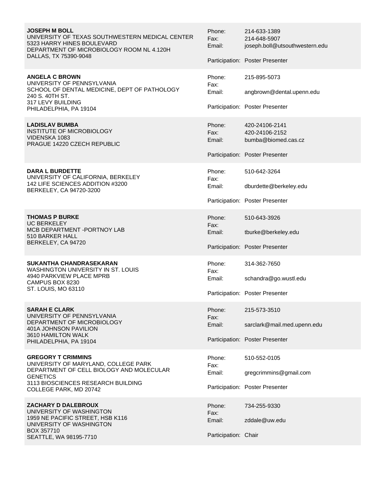**JOSEPH M BOLL** UNIVERSITY OF TEXAS SOUTHWESTERN MEDICAL CENTER 5323 HARRY HINES BOULEVARD DEPARTMENT OF MICROBIOLOGY ROOM NL 4.120H DALLAS, TX 75390-9048

**ANGELA C BROWN** UNIVERSITY OF PENNSYLVANIA SCHOOL OF DENTAL MEDICINE, DEPT OF PATHOLOGY 240 S. 40TH ST. 317 LEVY BUILDING PHILADELPHIA, PA 19104

**LADISLAV BUMBA** INSTITUTE OF MICROBIOLOGY VIDENSKA 1083 PRAGUE 14220 CZECH REPUBLIC

**DARA L BURDETTE** UNIVERSITY OF CALIFORNIA, BERKELEY 142 LIFE SCIENCES ADDITION #3200 BERKELEY, CA 94720-3200

**THOMAS P BURKE** UC BERKELEY MCB DEPARTMENT -PORTNOY LAB 510 BARKER HALL BERKELEY, CA 94720

### **SUKANTHA CHANDRASEKARAN**

WASHINGTON UNIVERSITY IN ST. LOUIS 4940 PARKVIEW PLACE MPRB CAMPUS BOX 8230 ST. LOUIS, MO 63110

#### **SARAH E CLARK**

UNIVERSITY OF PENNSYLVANIA DEPARTMENT OF MICROBIOLOGY 401A JOHNSON PAVILION 3610 HAMILTON WALK PHILADELPHIA, PA 19104

#### **GREGORY T CRIMMINS**

UNIVERSITY OF MARYLAND, COLLEGE PARK DEPARTMENT OF CELL BIOLOGY AND MOLECULAR **GENETICS** 3113 BIOSCIENCES RESEARCH BUILDING COLLEGE PARK, MD 20742

**ZACHARY D DALEBROUX**

UNIVERSITY OF WASHINGTON 1959 NE PACIFIC STREET, HSB K116 UNIVERSITY OF WASHINGTON BOX 357710 SEATTLE, WA 98195-7710

Phone: 214-633-1389 Fax: 214-648-5907 Email: joseph.boll@utsouthwestern.edu Participation: Poster Presenter Phone: 215-895-5073 Fax: Email: angbrown@dental.upenn.edu Participation: Poster Presenter Phone: 420-24106-2141 Fax: 420-24106-2152 Email: bumba@biomed.cas.cz Participation: Poster Presenter Phone: 510-642-3264 Fax: Email: dburdette@berkeley.edu Participation: Poster Presenter Phone: 510-643-3926 Fax: Email: tburke@berkeley.edu Participation: Poster Presenter Phone: 314-362-7650 Fax: Email: schandra@go.wustl.edu Participation: Poster Presenter Phone: 215-573-3510 Fax: Email: sarclark@mail.med.upenn.edu Participation: Poster Presenter Phone: 510-552-0105 Fax: Email: gregcrimmins@gmail.com Participation: Poster Presenter Phone: 734-255-9330 Fax: Email: zddale@uw.edu Participation: Chair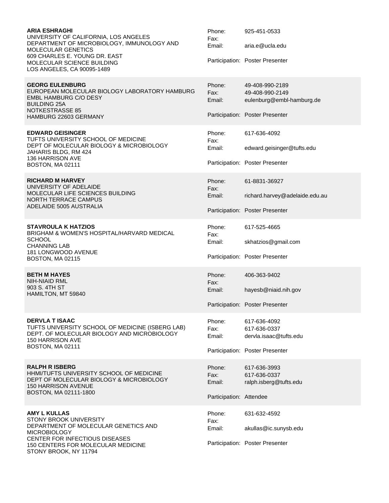| <b>ARIA ESHRAGHI</b><br>UNIVERSITY OF CALIFORNIA, LOS ANGELES<br>DEPARTMENT OF MICROBIOLOGY, IMMUNOLOGY AND<br><b>MOLECULAR GENETICS</b><br>609 CHARLES E. YOUNG DR. EAST<br>MOLECULAR SCIENCE BUILDING<br>LOS ANGELES, CA 90095-1489 | Phone:<br>Fax:<br>Email:                            | 925-451-0533<br>aria.e@ucla.edu<br>Participation: Poster Presenter                                 |
|---------------------------------------------------------------------------------------------------------------------------------------------------------------------------------------------------------------------------------------|-----------------------------------------------------|----------------------------------------------------------------------------------------------------|
| <b>GEORG EULENBURG</b><br>EUROPEAN MOLECULAR BIOLOGY LABORATORY HAMBURG<br><b>EMBL HAMBURG C/O DESY</b><br><b>BUILDING 25A</b><br><b>NOTKESTRASSE 85</b><br>HAMBURG 22603 GERMANY                                                     | Phone:<br>Fax:<br>Email:                            | 49-408-990-2189<br>49-408-990-2149<br>eulenburg@embl-hamburg.de<br>Participation: Poster Presenter |
| <b>EDWARD GEISINGER</b><br>TUFTS UNIVERSITY SCHOOL OF MEDICINE<br>DEPT OF MOLECULAR BIOLOGY & MICROBIOLOGY<br>JAHARIS BLDG, RM 424<br>136 HARRISON AVE<br>BOSTON, MA 02111                                                            | Phone:<br>Fax:<br>Email:                            | 617-636-4092<br>edward.geisinger@tufts.edu<br>Participation: Poster Presenter                      |
| <b>RICHARD M HARVEY</b><br>UNIVERSITY OF ADELAIDE<br>MOLECULAR LIFE SCIENCES BUILDING<br><b>NORTH TERRACE CAMPUS</b><br>ADELAIDE 5005 AUSTRALIA                                                                                       | Phone:<br>Fax:<br>Email:                            | 61-8831-36927<br>richard.harvey@adelaide.edu.au<br>Participation: Poster Presenter                 |
| <b>STAVROULA K HATZIOS</b><br>BRIGHAM & WOMEN'S HOSPITAL/HARVARD MEDICAL<br><b>SCHOOL</b><br><b>CHANNING LAB</b><br>181 LONGWOOD AVENUE<br>BOSTON, MA 02115                                                                           | Phone:<br>Fax:<br>Email:                            | 617-525-4665<br>skhatzios@gmail.com<br>Participation: Poster Presenter                             |
| <b>BETH M HAYES</b><br>NIH-NIAID RML<br>903 S. 4TH ST<br>HAMILTON, MT 59840                                                                                                                                                           | Phone:<br>Fax:<br>Email:                            | 406-363-9402<br>hayesb@niaid.nih.gov<br>Participation: Poster Presenter                            |
| <b>DERVLA T ISAAC</b><br>TUFTS UNIVERSITY SCHOOL OF MEDICINE (ISBERG LAB)<br>DEPT. OF MOLECULAR BIOLOGY AND MICROBIOLOGY<br><b>150 HARRISON AVE</b><br>BOSTON, MA 02111                                                               | Phone:<br>Fax:<br>Email:                            | 617-636-4092<br>617-636-0337<br>dervla.isaac@tufts.edu<br>Participation: Poster Presenter          |
| <b>RALPH R ISBERG</b><br>HHMI/TUFTS UNIVERSITY SCHOOL OF MEDICINE<br>DEPT OF MOLECULAR BIOLOGY & MICROBIOLOGY<br>150 HARRISON AVENUE<br>BOSTON, MA 02111-1800                                                                         | Phone:<br>Fax:<br>Email:<br>Participation: Attendee | 617-636-3993<br>617-636-0337<br>ralph.isberg@tufts.edu                                             |
| <b>AMY L KULLAS</b><br>STONY BROOK UNIVERSITY<br>DEPARTMENT OF MOLECULAR GENETICS AND<br><b>MICROBIOLOGY</b><br><b>CENTER FOR INFECTIOUS DISEASES</b><br>150 CENTERS FOR MOLECULAR MEDICINE<br>STONY BROOK, NY 11794                  | Phone:<br>Fax:<br>Email:                            | 631-632-4592<br>akullas@ic.sunysb.edu<br>Participation: Poster Presenter                           |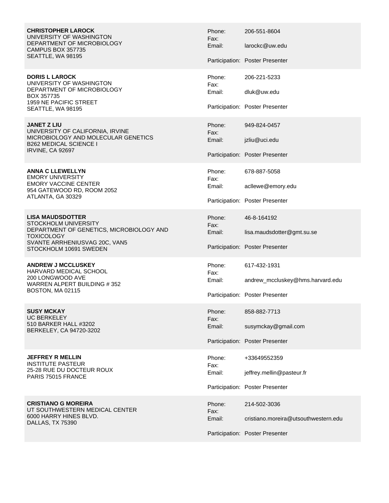**CHRISTOPHER LAROCK** UNIVERSITY OF WASHINGTON DEPARTMENT OF MICROBIOLOGY CAMPUS BOX 357735 SEATTLE, WA 98195

**DORIS L LAROCK** UNIVERSITY OF WASHINGTON DEPARTMENT OF MICROBIOLOGY BOX 357735 1959 NE PACIFIC STREET SEATTLE, WA 98195

**JANET Z LIU** UNIVERSITY OF CALIFORNIA, IRVINE MICROBIOLOGY AND MOLECULAR GENETICS B262 MEDICAL SCIENCE I IRVINE, CA 92697

**ANNA C LLEWELLYN** EMORY UNIVERSITY EMORY VACCINE CENTER 954 GATEWOOD RD, ROOM 2052 ATLANTA, GA 30329

**LISA MAUDSDOTTER** STOCKHOLM UNIVERSITY DEPARTMENT OF GENETICS, MICROBIOLOGY AND **TOXICOLOGY** SVANTE ARRHENIUSVAG 20C, VAN5 STOCKHOLM 10691 SWEDEN

**ANDREW J MCCLUSKEY** HARVARD MEDICAL SCHOOL 200 LONGWOOD AVE WARREN ALPERT BUILDING # 352 BOSTON, MA 02115

**SUSY MCKAY** UC BERKELEY 510 BARKER HALL #3202 BERKELEY, CA 94720-3202

**JEFFREY R MELLIN** INSTITUTE PASTEUR 25-28 RUE DU DOCTEUR ROUX PARIS 75015 FRANCE

**CRISTIANO G MOREIRA** UT SOUTHWESTERN MEDICAL CENTER 6000 HARRY HINES BLVD. DALLAS, TX 75390

Phone: 206-551-8604 Fax: Email: larockc@uw.edu Participation: Poster Presenter Phone: 206-221-5233 Fax: Email: dluk@uw.edu Participation: Poster Presenter Phone: 949-824-0457 Fax: Email: jzliu@uci.edu Participation: Poster Presenter Phone: 678-887-5058 Fax: Email: acllewe@emory.edu Participation: Poster Presenter Phone: 46-8-164192 Fax: Email: lisa.maudsdotter@gmt.su.se Participation: Poster Presenter Phone: 617-432-1931 Fax: Email: andrew\_mccluskey@hms.harvard.edu Participation: Poster Presenter Phone: 858-882-7713 Fax: Email: susymckay@gmail.com Participation: Poster Presenter Phone: +33649552359 Fax: Email: jeffrey.mellin@pasteur.fr Participation: Poster Presenter Phone: 214-502-3036 Fax: Email: cristiano.moreira@utsouthwestern.edu Participation: Poster Presenter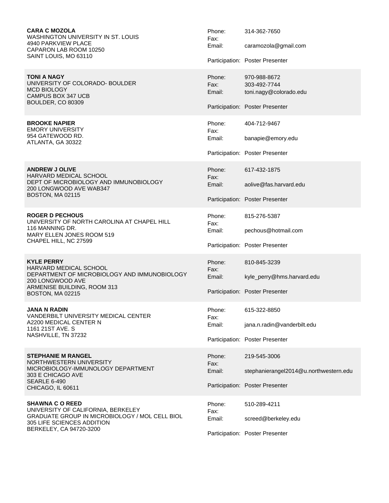**CARA C MOZOLA** WASHINGTON UNIVERSITY IN ST. LOUIS 4940 PARKVIEW PLACE CAPARON LAB ROOM 10250 SAINT LOUIS, MO 63110

**TONI A NAGY** UNIVERSITY OF COLORADO- BOULDER MCD BIOLOGY CAMPUS BOX 347 UCB BOULDER, CO 80309

#### **BROOKE NAPIER** EMORY UNIVERSITY 954 GATEWOOD RD. ATLANTA, GA 30322

**ANDREW J OLIVE** HARVARD MEDICAL SCHOOL DEPT OF MICROBIOLOGY AND IMMUNOBIOLOGY 200 LONGWOOD AVE WAB347 BOSTON, MA 02115

**ROGER D PECHOUS** UNIVERSITY OF NORTH CAROLINA AT CHAPEL HILL 116 MANNING DR. MARY ELLEN JONES ROOM 519 CHAPEL HILL, NC 27599

**KYLE PERRY** HARVARD MEDICAL SCHOOL DEPARTMENT OF MICROBIOLOGY AND IMMUNOBIOLOGY 200 LONGWOOD AVE ARMENISE BUILDING, ROOM 313 BOSTON, MA 02215

**JANA N RADIN** VANDERBILT UNIVERSITY MEDICAL CENTER A2200 MEDICAL CENTER N 1161 21ST AVE. S NASHVILLE, TN 37232

**STEPHANIE M RANGEL** NORTHWESTERN UNIVERSITY MICROBIOLOGY-IMMUNOLOGY DEPARTMENT 303 E CHICAGO AVE SEARLE 6-490 CHICAGO, IL 60611

**SHAWNA C O REED** UNIVERSITY OF CALIFORNIA, BERKELEY GRADUATE GROUP IN MICROBIOLOGY / MOL CELL BIOL 305 LIFE SCIENCES ADDITION BERKELEY, CA 94720-3200

Phone: 314-362-7650 Fax: Email: caramozola@gmail.com Participation: Poster Presenter Phone: 970-988-8672 Fax: 303-492-7744 Email: toni.nagy@colorado.edu Participation: Poster Presenter Phone: 404-712-9467 Fax: Email: banapie@emory.edu Participation: Poster Presenter Phone: 617-432-1875 Fax: Email: aolive@fas.harvard.edu Participation: Poster Presenter Phone: 815-276-5387 Fax: Email: pechous@hotmail.com Participation: Poster Presenter Phone: 810-845-3239 Fax: Email: kyle\_perry@hms.harvard.edu Participation: Poster Presenter Phone: 615-322-8850 Fax: Email: jana.n.radin@vanderbilt.edu Participation: Poster Presenter Phone: 219-545-3006 Fax: Email: stephanierangel2014@u.northwestern.edu Participation: Poster Presenter Phone: 510-289-4211 Fax: Email: screed@berkeley.edu Participation: Poster Presenter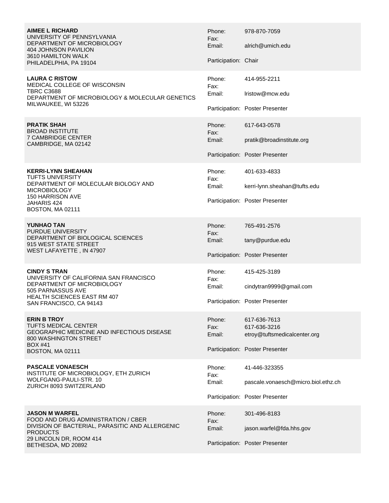| <b>AIMEE L RICHARD</b><br>UNIVERSITY OF PENNSYLVANIA<br>DEPARTMENT OF MICROBIOLOGY<br><b>404 JOHNSON PAVILION</b><br>3610 HAMILTON WALK<br>PHILADELPHIA, PA 19104            | Phone:<br>Fax:<br>Email:<br>Participation: Chair | 978-870-7059<br>alrich@umich.edu                                                                |
|------------------------------------------------------------------------------------------------------------------------------------------------------------------------------|--------------------------------------------------|-------------------------------------------------------------------------------------------------|
| <b>LAURA C RISTOW</b><br>MEDICAL COLLEGE OF WISCONSIN<br><b>TBRC C3688</b><br>DEPARTMENT OF MICROBIOLOGY & MOLECULAR GENETICS<br>MILWAUKEE, WI 53226                         | Phone:<br>Fax:<br>Email:                         | 414-955-2211<br>Iristow@mcw.edu<br>Participation: Poster Presenter                              |
| <b>PRATIK SHAH</b><br>BROAD INSTITUTE<br><b>7 CAMBRIDGE CENTER</b><br>CAMBRIDGE, MA 02142                                                                                    | Phone:<br>Fax:<br>Email:                         | 617-643-0578<br>pratik@broadinstitute.org<br>Participation: Poster Presenter                    |
| <b>KERRI-LYNN SHEAHAN</b><br><b>TUFTS UNIVERSITY</b><br>DEPARTMENT OF MOLECULAR BIOLOGY AND<br><b>MICROBIOLOGY</b><br>150 HARRISON AVE<br>JAHARIS 424<br>BOSTON, MA 02111    | Phone:<br>Fax:<br>Email:                         | 401-633-4833<br>kerri-lynn.sheahan@tufts.edu<br>Participation: Poster Presenter                 |
| <b>YUNHAO TAN</b><br>PURDUE UNIVERSITY<br>DEPARTMENT OF BIOLOGICAL SCIENCES<br>915 WEST STATE STREET<br>WEST LAFAYETTE, IN 47907                                             | Phone:<br>Fax:<br>Email:                         | 765-491-2576<br>tany@purdue.edu<br>Participation: Poster Presenter                              |
| <b>CINDY S TRAN</b><br>UNIVERSITY OF CALIFORNIA SAN FRANCISCO<br>DEPARTMENT OF MICROBIOLOGY<br>505 PARNASSUS AVE<br>HEALTH SCIENCES EAST RM 407<br>SAN FRANCISCO, CA 94143   | Phone:<br>Fax:<br>Email:                         | 415-425-3189<br>cindytran9999@gmail.com<br>Participation: Poster Presenter                      |
| <b>ERIN B TROY</b><br><b>TUFTS MEDICAL CENTER</b><br><b>GEOGRAPHIC MEDICINE AND INFECTIOUS DISEASE</b><br>800 WASHINGTON STREET<br>BOX #41<br>BOSTON, MA 02111               | Phone:<br>Fax:<br>Email:                         | 617-636-7613<br>617-636-3216<br>etroy@tuftsmedicalcenter.org<br>Participation: Poster Presenter |
| <b>PASCALE VONAESCH</b><br>INSTITUTE OF MICROBIOLOGY, ETH ZURICH<br>WOLFGANG-PAULI-STR. 10<br>ZURICH 8093 SWITZERLAND                                                        | Phone:<br>Fax:<br>Email:                         | 41-446-323355<br>pascale.vonaesch@micro.biol.ethz.ch<br>Participation: Poster Presenter         |
| JASON M WARFEL<br>FOOD AND DRUG ADMINISTRATION / CBER<br>DIVISION OF BACTERIAL, PARASITIC AND ALLERGENIC<br><b>PRODUCTS</b><br>29 LINCOLN DR, ROOM 414<br>BETHESDA, MD 20892 | Phone:<br>Fax:<br>Email:                         | 301-496-8183<br>jason.warfel@fda.hhs.gov<br>Participation: Poster Presenter                     |